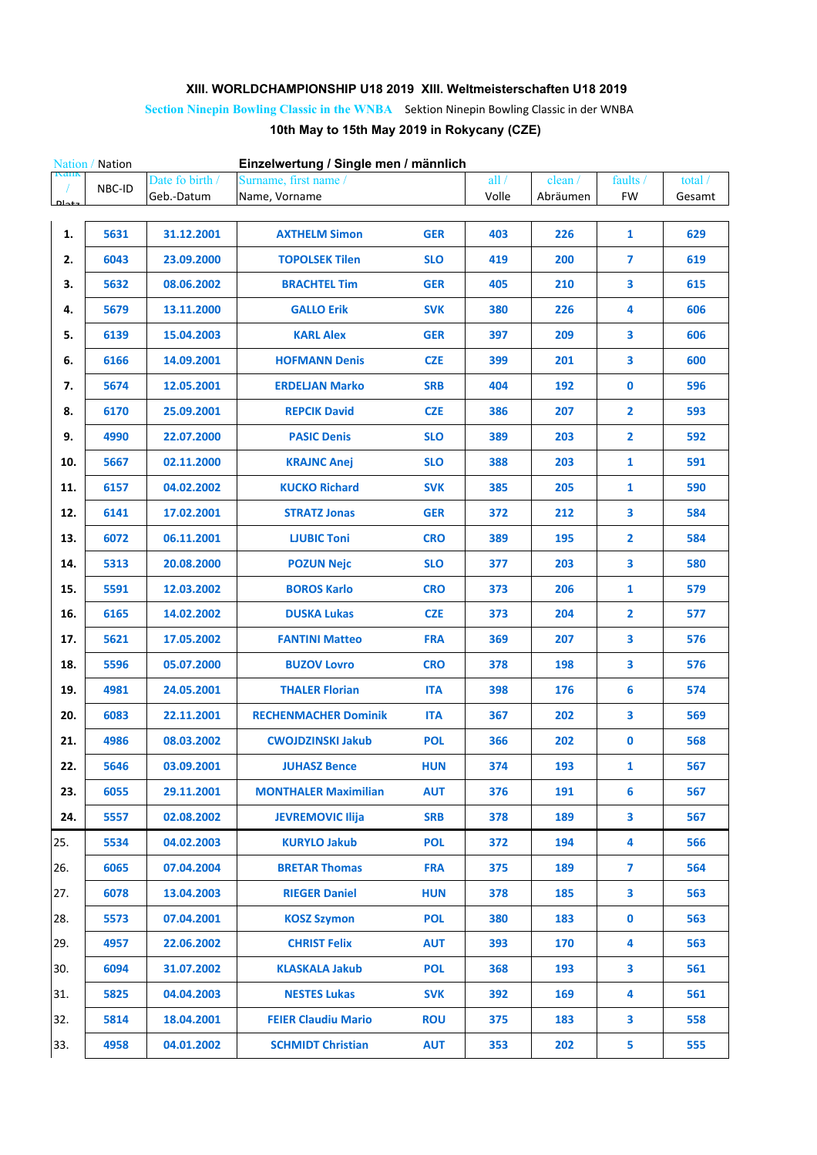## **XIII. WORLDCHAMPIONSHIP U18 2019 XIII. Weltmeisterschaften U18 2019**

## **Section Ninepin Bowling Classic in the WNBA** Sektion Ninepin Bowling Classic in der WNBA **10th May to 15th May 2019 in Rokycany (CZE)**

| Einzelwertung / Single men / männlich<br>Nation / Nation |        |                 |                             |            |       |          |                         |         |  |
|----------------------------------------------------------|--------|-----------------|-----------------------------|------------|-------|----------|-------------------------|---------|--|
| raiik                                                    | NBC-ID | Date fo birth / | Surname, first name /       |            | all/  | clean /  | faults /                | total / |  |
| $N_{-+}$                                                 |        | Geb.-Datum      | Name, Vorname               |            | Volle | Abräumen | <b>FW</b>               | Gesamt  |  |
| 1.                                                       | 5631   | 31.12.2001      | <b>AXTHELM Simon</b>        | <b>GER</b> | 403   | 226      | $\mathbf{1}$            | 629     |  |
| 2.                                                       | 6043   | 23.09.2000      | <b>TOPOLSEK Tilen</b>       | <b>SLO</b> | 419   | 200      | $\overline{\mathbf{z}}$ | 619     |  |
| 3.                                                       | 5632   | 08.06.2002      | <b>BRACHTEL Tim</b>         | <b>GER</b> | 405   | 210      | 3                       | 615     |  |
| 4.                                                       | 5679   | 13.11.2000      | <b>GALLO Erik</b>           | <b>SVK</b> | 380   | 226      | 4                       | 606     |  |
| 5.                                                       | 6139   | 15.04.2003      | <b>KARL Alex</b>            | <b>GER</b> | 397   | 209      | 3                       | 606     |  |
| 6.                                                       | 6166   | 14.09.2001      | <b>HOFMANN Denis</b>        | <b>CZE</b> | 399   | 201      | 3                       | 600     |  |
| 7.                                                       | 5674   | 12.05.2001      | <b>ERDELJAN Marko</b>       | <b>SRB</b> | 404   | 192      | $\mathbf 0$             | 596     |  |
| 8.                                                       | 6170   | 25.09.2001      | <b>REPCIK David</b>         | <b>CZE</b> | 386   | 207      | $\overline{2}$          | 593     |  |
| 9.                                                       | 4990   | 22.07.2000      | <b>PASIC Denis</b>          | <b>SLO</b> | 389   | 203      | $\overline{2}$          | 592     |  |
| 10.                                                      | 5667   | 02.11.2000      | <b>KRAJNC Anej</b>          | <b>SLO</b> | 388   | 203      | 1                       | 591     |  |
| 11.                                                      | 6157   | 04.02.2002      | <b>KUCKO Richard</b>        | <b>SVK</b> | 385   | 205      | 1                       | 590     |  |
| 12.                                                      | 6141   | 17.02.2001      | <b>STRATZ Jonas</b>         | <b>GER</b> | 372   | 212      | 3                       | 584     |  |
| 13.                                                      | 6072   | 06.11.2001      | <b>LJUBIC Toni</b>          | <b>CRO</b> | 389   | 195      | $\overline{\mathbf{2}}$ | 584     |  |
| 14.                                                      | 5313   | 20.08.2000      | <b>POZUN Nejc</b>           | <b>SLO</b> | 377   | 203      | 3                       | 580     |  |
| 15.                                                      | 5591   | 12.03.2002      | <b>BOROS Karlo</b>          | <b>CRO</b> | 373   | 206      | $\mathbf{1}$            | 579     |  |
| 16.                                                      | 6165   | 14.02.2002      | <b>DUSKA Lukas</b>          | <b>CZE</b> | 373   | 204      | $\overline{2}$          | 577     |  |
| 17.                                                      | 5621   | 17.05.2002      | <b>FANTINI Matteo</b>       | <b>FRA</b> | 369   | 207      | 3                       | 576     |  |
| 18.                                                      | 5596   | 05.07.2000      | <b>BUZOV Lovro</b>          | <b>CRO</b> | 378   | 198      | 3                       | 576     |  |
| 19.                                                      | 4981   | 24.05.2001      | <b>THALER Florian</b>       | <b>ITA</b> | 398   | 176      | 6                       | 574     |  |
| 20.                                                      | 6083   | 22.11.2001      | <b>RECHENMACHER Dominik</b> | <b>ITA</b> | 367   | 202      | 3                       | 569     |  |
| 21.                                                      | 4986   | 08.03.2002      | <b>CWOJDZINSKI Jakub</b>    | <b>POL</b> | 366   | 202      | $\mathbf 0$             | 568     |  |
| 22.                                                      | 5646   | 03.09.2001      | <b>JUHASZ Bence</b>         | <b>HUN</b> | 374   | 193      | 1                       | 567     |  |
| 23.                                                      | 6055   | 29.11.2001      | <b>MONTHALER Maximilian</b> | <b>AUT</b> | 376   | 191      | 6                       | 567     |  |
| 24.                                                      | 5557   | 02.08.2002      | <b>JEVREMOVIC Ilija</b>     | <b>SRB</b> | 378   | 189      | 3                       | 567     |  |
| 25.                                                      | 5534   | 04.02.2003      | <b>KURYLO Jakub</b>         | <b>POL</b> | 372   | 194      | 4                       | 566     |  |
| 26.                                                      | 6065   | 07.04.2004      | <b>BRETAR Thomas</b>        | <b>FRA</b> | 375   | 189      | $\overline{7}$          | 564     |  |
| 27.                                                      | 6078   | 13.04.2003      | <b>RIEGER Daniel</b>        | <b>HUN</b> | 378   | 185      | 3                       | 563     |  |
| 28.                                                      | 5573   | 07.04.2001      | <b>KOSZ Szymon</b>          | <b>POL</b> | 380   | 183      | $\mathbf 0$             | 563     |  |
| 29.                                                      | 4957   | 22.06.2002      | <b>CHRIST Felix</b>         | <b>AUT</b> | 393   | 170      | 4                       | 563     |  |
| 30.                                                      | 6094   | 31.07.2002      | <b>KLASKALA Jakub</b>       | <b>POL</b> | 368   | 193      | 3                       | 561     |  |
| 31.                                                      | 5825   | 04.04.2003      | <b>NESTES Lukas</b>         | <b>SVK</b> | 392   | 169      | 4                       | 561     |  |
| 32.                                                      | 5814   | 18.04.2001      | <b>FEIER Claudiu Mario</b>  | <b>ROU</b> | 375   | 183      | 3                       | 558     |  |
| 33.                                                      | 4958   | 04.01.2002      | <b>SCHMIDT Christian</b>    | <b>AUT</b> | 353   | 202      | 5                       | 555     |  |